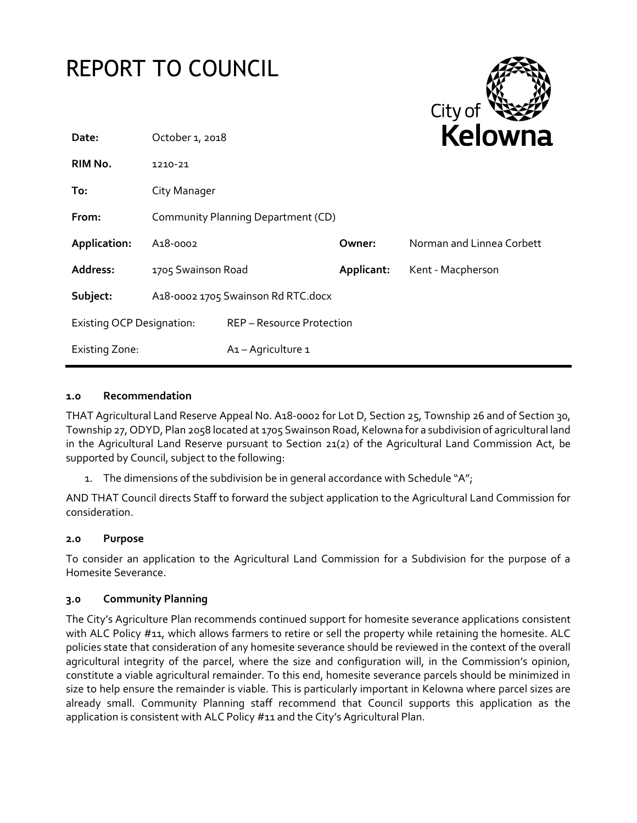

#### **1.0 Recommendation**

THAT Agricultural Land Reserve Appeal No. A18-0002 for Lot D, Section 25, Township 26 and of Section 30, Township 27, ODYD, Plan 2058 located at 1705 Swainson Road, Kelowna for a subdivision of agricultural land in the Agricultural Land Reserve pursuant to Section 21(2) of the Agricultural Land Commission Act, be supported by Council, subject to the following:

1. The dimensions of the subdivision be in general accordance with Schedule "A";

AND THAT Council directs Staff to forward the subject application to the Agricultural Land Commission for consideration.

# **2.0 Purpose**

To consider an application to the Agricultural Land Commission for a Subdivision for the purpose of a Homesite Severance.

# **3.0 Community Planning**

The City's Agriculture Plan recommends continued support for homesite severance applications consistent with ALC Policy #11, which allows farmers to retire or sell the property while retaining the homesite. ALC policies state that consideration of any homesite severance should be reviewed in the context of the overall agricultural integrity of the parcel, where the size and configuration will, in the Commission's opinion, constitute a viable agricultural remainder. To this end, homesite severance parcels should be minimized in size to help ensure the remainder is viable. This is particularly important in Kelowna where parcel sizes are already small. Community Planning staff recommend that Council supports this application as the application is consistent with ALC Policy #11 and the City's Agricultural Plan.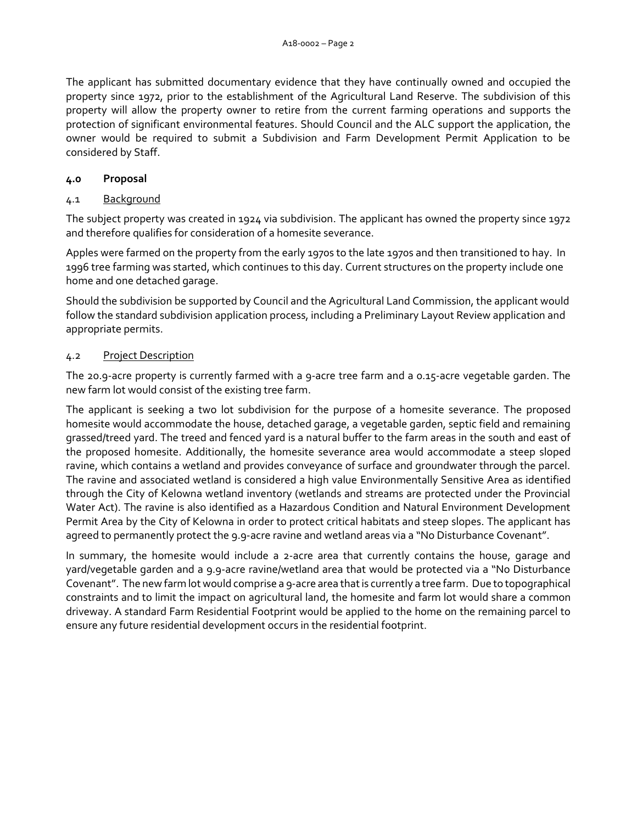The applicant has submitted documentary evidence that they have continually owned and occupied the property since 1972, prior to the establishment of the Agricultural Land Reserve. The subdivision of this property will allow the property owner to retire from the current farming operations and supports the protection of significant environmental features. Should Council and the ALC support the application, the owner would be required to submit a Subdivision and Farm Development Permit Application to be considered by Staff.

#### **4.0 Proposal**

#### 4.1 Background

The subject property was created in 1924 via subdivision. The applicant has owned the property since 1972 and therefore qualifies for consideration of a homesite severance.

Apples were farmed on the property from the early 1970s to the late 1970s and then transitioned to hay. In 1996 tree farming was started, which continues to this day. Current structures on the property include one home and one detached garage.

Should the subdivision be supported by Council and the Agricultural Land Commission, the applicant would follow the standard subdivision application process, including a Preliminary Layout Review application and appropriate permits.

#### 4.2 Project Description

The 20.9-acre property is currently farmed with a 9-acre tree farm and a 0.15-acre vegetable garden. The new farm lot would consist of the existing tree farm.

The applicant is seeking a two lot subdivision for the purpose of a homesite severance. The proposed homesite would accommodate the house, detached garage, a vegetable garden, septic field and remaining grassed/treed yard. The treed and fenced yard is a natural buffer to the farm areas in the south and east of the proposed homesite. Additionally, the homesite severance area would accommodate a steep sloped ravine, which contains a wetland and provides conveyance of surface and groundwater through the parcel. The ravine and associated wetland is considered a high value Environmentally Sensitive Area as identified through the City of Kelowna wetland inventory (wetlands and streams are protected under the Provincial Water Act). The ravine is also identified as a Hazardous Condition and Natural Environment Development Permit Area by the City of Kelowna in order to protect critical habitats and steep slopes. The applicant has agreed to permanently protect the 9.9-acre ravine and wetland areas via a "No Disturbance Covenant".

In summary, the homesite would include a 2-acre area that currently contains the house, garage and yard/vegetable garden and a 9.9-acre ravine/wetland area that would be protected via a "No Disturbance Covenant". The new farm lot would comprise a 9-acre area that is currently a tree farm. Due to topographical constraints and to limit the impact on agricultural land, the homesite and farm lot would share a common driveway. A standard Farm Residential Footprint would be applied to the home on the remaining parcel to ensure any future residential development occurs in the residential footprint.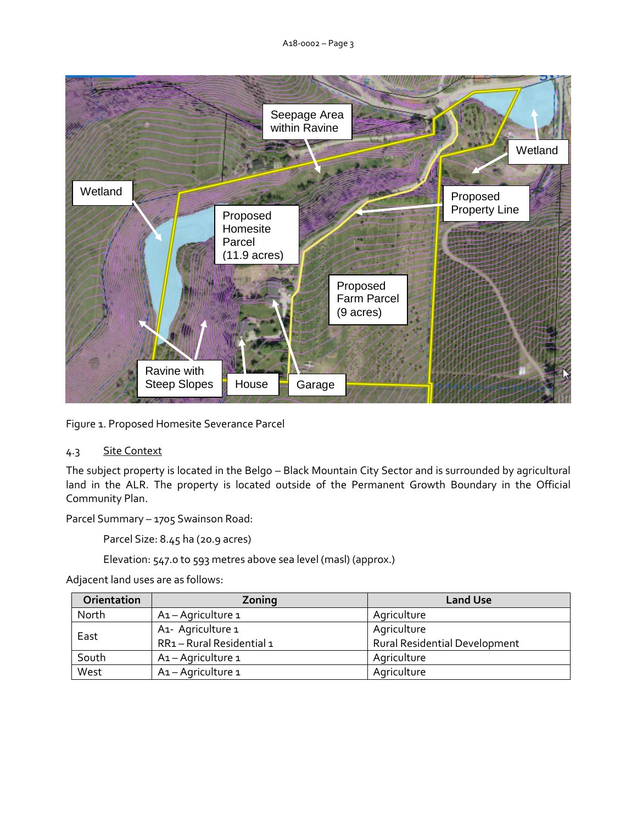

Figure 1. Proposed Homesite Severance Parcel

# 4.3 Site Context

The subject property is located in the Belgo – Black Mountain City Sector and is surrounded by agricultural land in the ALR. The property is located outside of the Permanent Growth Boundary in the Official Community Plan.

Parcel Summary – 1705 Swainson Road:

Parcel Size: 8.45 ha (20.9 acres)

Elevation: 547.0 to 593 metres above sea level (masl) (approx.)

Adjacent land uses are as follows:

| Orientation | Zoning                                    | <b>Land Use</b>                      |
|-------------|-------------------------------------------|--------------------------------------|
| North       | A1 - Agriculture 1                        | Agriculture                          |
| East        | A <sub>1</sub> - Agriculture <sub>1</sub> | Agriculture                          |
|             | RR1-Rural Residential 1                   | <b>Rural Residential Development</b> |
| South       | A1-Agriculture 1                          | Agriculture                          |
| West        | A1-Agriculture 1                          | Agriculture                          |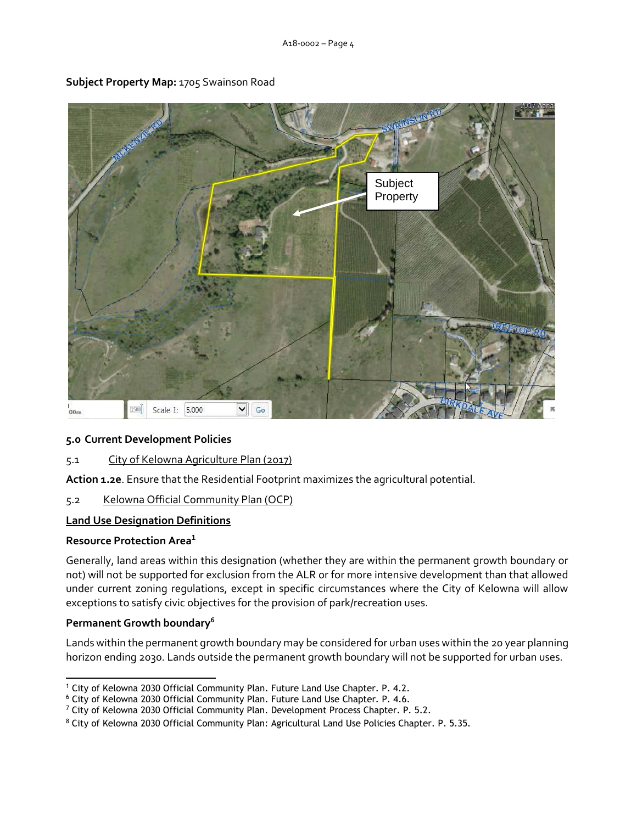

# **Subject Property Map:** 1705 Swainson Road

# **5.0 Current Development Policies**

5.1 City of Kelowna Agriculture Plan (2017)

**Action 1.2e**. Ensure that the Residential Footprint maximizes the agricultural potential.

# 5.2 Kelowna Official Community Plan (OCP)

# **Land Use Designation Definitions**

# **Resource Protection Area<sup>1</sup>**

Generally, land areas within this designation (whether they are within the permanent growth boundary or not) will not be supported for exclusion from the ALR or for more intensive development than that allowed under current zoning regulations, except in specific circumstances where the City of Kelowna will allow exceptions to satisfy civic objectives for the provision of park/recreation uses.

# **Permanent Growth boundary<sup>6</sup>**

Lands within the permanent growth boundary may be considered for urban uses within the 20 year planning horizon ending 2030. Lands outside the permanent growth boundary will not be supported for urban uses.

<sup>-</sup><sup>1</sup> City of Kelowna 2030 Official Community Plan. Future Land Use Chapter. P. 4.2.

<sup>6</sup> City of Kelowna 2030 Official Community Plan. Future Land Use Chapter. P. 4.6.

<sup>&</sup>lt;sup>7</sup> City of Kelowna 2030 Official Community Plan. Development Process Chapter. P. 5.2.

<sup>8</sup> City of Kelowna 2030 Official Community Plan: Agricultural Land Use Policies Chapter. P. 5.35.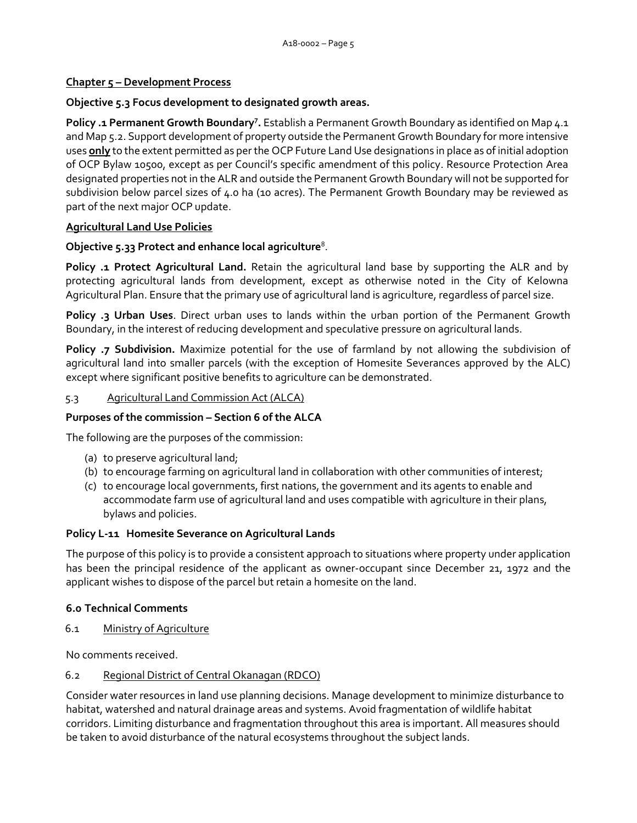# **Chapter 5 – Development Process**

#### **Objective 5.3 Focus development to designated growth areas.**

**Policy .1 Permanent Growth Boundary<sup>7</sup> .** Establish a Permanent Growth Boundary as identified on Map 4.1 and Map 5.2. Support development of property outside the Permanent Growth Boundary for more intensive uses **only** to the extent permitted as per the OCP Future Land Use designations in place as of initial adoption of OCP Bylaw 10500, except as per Council's specific amendment of this policy. Resource Protection Area designated properties not in the ALR and outside the Permanent Growth Boundary will not be supported for subdivision below parcel sizes of 4.0 ha (10 acres). The Permanent Growth Boundary may be reviewed as part of the next major OCP update.

#### **Agricultural Land Use Policies**

# **Objective 5.33 Protect and enhance local agriculture**<sup>8</sup> .

**Policy .1 Protect Agricultural Land.** Retain the agricultural land base by supporting the ALR and by protecting agricultural lands from development, except as otherwise noted in the City of Kelowna Agricultural Plan. Ensure that the primary use of agricultural land is agriculture, regardless of parcel size.

**Policy .3 Urban Uses**. Direct urban uses to lands within the urban portion of the Permanent Growth Boundary, in the interest of reducing development and speculative pressure on agricultural lands.

**Policy .7 Subdivision.** Maximize potential for the use of farmland by not allowing the subdivision of agricultural land into smaller parcels (with the exception of Homesite Severances approved by the ALC) except where significant positive benefits to agriculture can be demonstrated.

#### 5.3 Agricultural Land Commission Act (ALCA)

#### **Purposes of the commission – Section 6 of the ALCA**

The following are the purposes of the commission:

- (a) to preserve agricultural land;
- (b) to encourage farming on agricultural land in collaboration with other communities of interest;
- (c) to encourage local governments, first nations, the government and its agents to enable and accommodate farm use of agricultural land and uses compatible with agriculture in their plans, bylaws and policies.

#### **Policy L-11 Homesite Severance on Agricultural Lands**

The purpose of this policy is to provide a consistent approach to situations where property under application has been the principal residence of the applicant as owner-occupant since December 21, 1972 and the applicant wishes to dispose of the parcel but retain a homesite on the land.

# **6.0 Technical Comments**

6.1 Ministry of Agriculture

No comments received.

#### 6.2 Regional District of Central Okanagan (RDCO)

Consider water resources in land use planning decisions. Manage development to minimize disturbance to habitat, watershed and natural drainage areas and systems. Avoid fragmentation of wildlife habitat corridors. Limiting disturbance and fragmentation throughout this area is important. All measures should be taken to avoid disturbance of the natural ecosystems throughout the subject lands.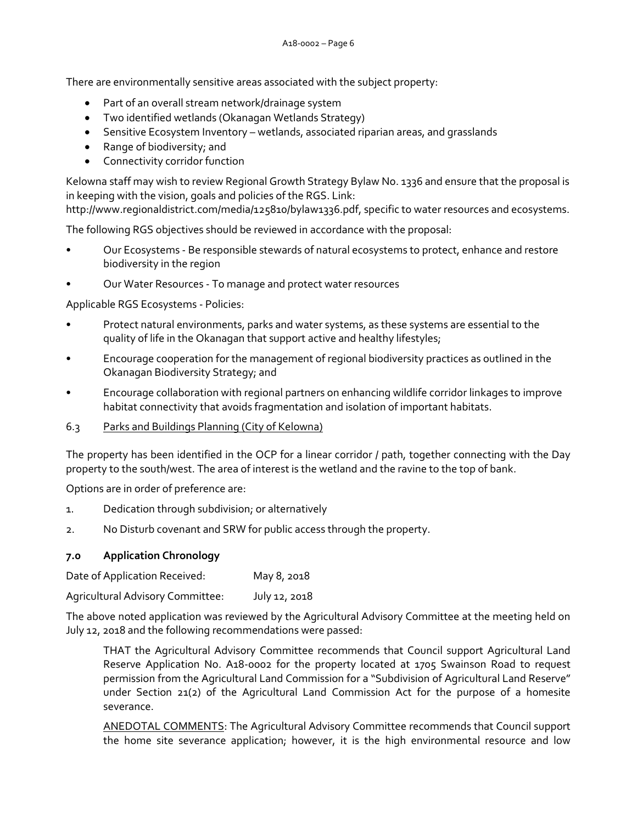There are environmentally sensitive areas associated with the subject property:

- Part of an overall stream network/drainage system
- Two identified wetlands (Okanagan Wetlands Strategy)
- Sensitive Ecosystem Inventory wetlands, associated riparian areas, and grasslands
- Range of biodiversity; and
- Connectivity corridor function

Kelowna staff may wish to review Regional Growth Strategy Bylaw No. 1336 and ensure that the proposal is in keeping with the vision, goals and policies of the RGS. Link:

http://www.regionaldistrict.com/media/125810/bylaw1336.pdf, specific to water resources and ecosystems.

The following RGS objectives should be reviewed in accordance with the proposal:

- Our Ecosystems Be responsible stewards of natural ecosystems to protect, enhance and restore biodiversity in the region
- Our Water Resources To manage and protect water resources

Applicable RGS Ecosystems - Policies:

- Protect natural environments, parks and water systems, as these systems are essential to the quality of life in the Okanagan that support active and healthy lifestyles;
- Encourage cooperation for the management of regional biodiversity practices as outlined in the Okanagan Biodiversity Strategy; and
- Encourage collaboration with regional partners on enhancing wildlife corridor linkages to improve habitat connectivity that avoids fragmentation and isolation of important habitats.
- 6.3 Parks and Buildings Planning (City of Kelowna)

The property has been identified in the OCP for a linear corridor / path, together connecting with the Day property to the south/west. The area of interest is the wetland and the ravine to the top of bank.

Options are in order of preference are:

- 1. Dedication through subdivision; or alternatively
- 2. No Disturb covenant and SRW for public access through the property.

# **7.0 Application Chronology**

Date of Application Received: May 8, 2018

Agricultural Advisory Committee: July 12, 2018

The above noted application was reviewed by the Agricultural Advisory Committee at the meeting held on July 12, 2018 and the following recommendations were passed:

THAT the Agricultural Advisory Committee recommends that Council support Agricultural Land Reserve Application No. A18-0002 for the property located at 1705 Swainson Road to request permission from the Agricultural Land Commission for a "Subdivision of Agricultural Land Reserve" under Section 21(2) of the Agricultural Land Commission Act for the purpose of a homesite severance.

ANEDOTAL COMMENTS: The Agricultural Advisory Committee recommends that Council support the home site severance application; however, it is the high environmental resource and low